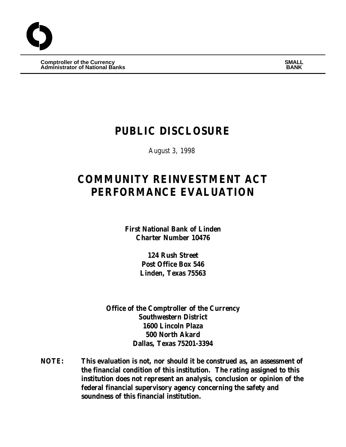**Comptroller of the Currency SMALL Administrator of National Banks BANK**

# **PUBLIC DISCLOSURE**

August 3, 1998

# **COMMUNITY REINVESTMENT ACT PERFORMANCE EVALUATION**

**First National Bank of Linden Charter Number 10476**

> **124 Rush Street Post Office Box 546 Linden, Texas 75563**

**Office of the Comptroller of the Currency Southwestern District 1600 Lincoln Plaza 500 North Akard Dallas, Texas 75201-3394**

**NOTE: This evaluation is not, nor should it be construed as, an assessment of the financial condition of this institution. The rating assigned to this institution does not represent an analysis, conclusion or opinion of the federal financial supervisory agency concerning the safety and soundness of this financial institution.**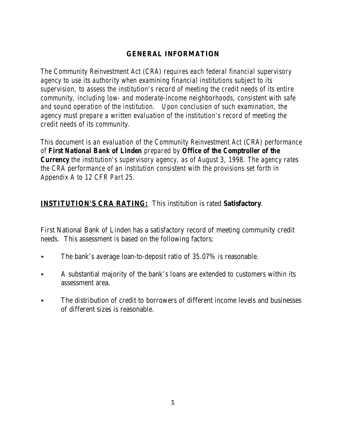# **GENERAL INFORMATION**

*The Community Reinvestment Act (CRA) requires each federal financial supervisory agency to use its authority when examining financial institutions subject to its supervision, to assess the institution's record of meeting the credit needs of its entire community, including low- and moderate-income neighborhoods, consistent with safe and sound operation of the institution. Upon conclusion of such examination, the agency must prepare a written evaluation of the institution's record of meeting the credit needs of its community.* 

*This document is an evaluation of the Community Reinvestment Act (CRA) performance of First National Bank of Linden prepared by Office of the Comptroller of the Currency the institution's supervisory agency, as of August 3, 1998. The agency rates the CRA performance of an institution consistent with the provisions set forth in Appendix A to 12 CFR Part 25.*

# **INSTITUTION'S CRA RATING:** This institution is rated **Satisfactory**.

First National Bank of Linden has a satisfactory record of meeting community credit needs. This assessment is based on the following factors:

- $\blacktriangleright$  The bank's average loan-to-deposit ratio of 35.07% is reasonable.
- < A substantial majority of the bank's loans are extended to customers within its assessment area.
- $\blacktriangleright$  The distribution of credit to borrowers of different income levels and businesses of different sizes is reasonable.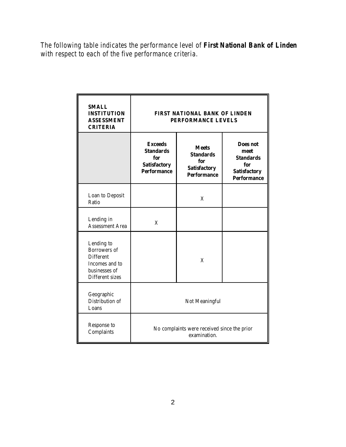*The following table indicates the performance level of First National Bank of Linden with respect to each of the five performance criteria.*

| <b>SMALL</b><br><b>INSTITUTION</b><br><b>ASSESSMENT</b><br><b>CRITERIA</b>                                  |                                                                                        | FIRST NATIONAL BANK OF LINDEN<br>PERFORMANCE LEVELS                                  |                                                                                                 |  |  |  |  |  |  |
|-------------------------------------------------------------------------------------------------------------|----------------------------------------------------------------------------------------|--------------------------------------------------------------------------------------|-------------------------------------------------------------------------------------------------|--|--|--|--|--|--|
|                                                                                                             | <b>Exceeds</b><br><b>Standards</b><br>for<br><b>Satisfactory</b><br><b>Performance</b> | <b>Meets</b><br><b>Standards</b><br>for<br><b>Satisfactory</b><br><b>Performance</b> | <b>Does not</b><br>meet<br><b>Standards</b><br>for<br><b>Satisfactory</b><br><b>Performance</b> |  |  |  |  |  |  |
| Loan to Deposit<br>Ratio                                                                                    |                                                                                        | X                                                                                    |                                                                                                 |  |  |  |  |  |  |
| Lending in<br><b>Assessment Area</b>                                                                        | X                                                                                      |                                                                                      |                                                                                                 |  |  |  |  |  |  |
| Lending to<br><b>Borrowers</b> of<br><b>Different</b><br>Incomes and to<br>businesses of<br>Different sizes |                                                                                        | X                                                                                    |                                                                                                 |  |  |  |  |  |  |
| Geographic<br>Distribution of<br>Loans                                                                      | Not Meaningful                                                                         |                                                                                      |                                                                                                 |  |  |  |  |  |  |
| Response to<br>Complaints                                                                                   |                                                                                        | No complaints were received since the prior<br>examination.                          |                                                                                                 |  |  |  |  |  |  |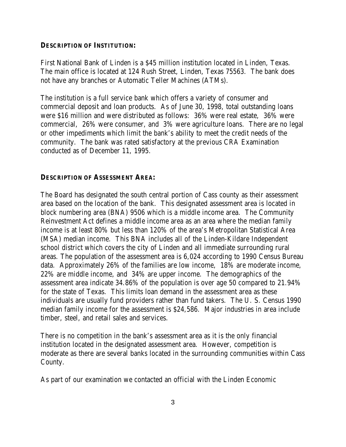#### **DESCRIPTION OF INSTITUTION:**

First National Bank of Linden is a \$45 million institution located in Linden, Texas. The main office is located at 124 Rush Street, Linden, Texas 75563. The bank does not have any branches or Automatic Teller Machines (ATMs).

The institution is a full service bank which offers a variety of consumer and commercial deposit and loan products. As of June 30, 1998, total outstanding loans were \$16 million and were distributed as follows: 36% were real estate, 36% were commercial, 26% were consumer, and 3% were agriculture loans. There are no legal or other impediments which limit the bank's ability to meet the credit needs of the community. The bank was rated satisfactory at the previous CRA Examination conducted as of December 11, 1995.

#### **DESCRIPTION OF ASSESSMENT AREA:**

The Board has designated the south central portion of Cass county as their assessment area based on the location of the bank. This designated assessment area is located in block numbering area (BNA) 9506 which is a middle income area. The Community Reinvestment Act defines a middle income area as an area where the median family income is at least 80% but less than 120% of the area's Metropolitan Statistical Area (MSA) median income. This BNA includes all of the Linden-Kildare Independent school district which covers the city of Linden and all immediate surrounding rural areas. The population of the assessment area is 6,024 according to 1990 Census Bureau data. Approximately 26% of the families are low income, 18% are moderate income, 22% are middle income, and 34% are upper income. The demographics of the assessment area indicate 34.86% of the population is over age 50 compared to 21.94% for the state of Texas. This limits loan demand in the assessment area as these individuals are usually fund providers rather than fund takers. The U. S. Census 1990 median family income for the assessment is \$24,586. Major industries in area include timber, steel, and retail sales and services.

There is no competition in the bank's assessment area as it is the only financial institution located in the designated assessment area. However, competition is moderate as there are several banks located in the surrounding communities within Cass County.

As part of our examination we contacted an official with the Linden Economic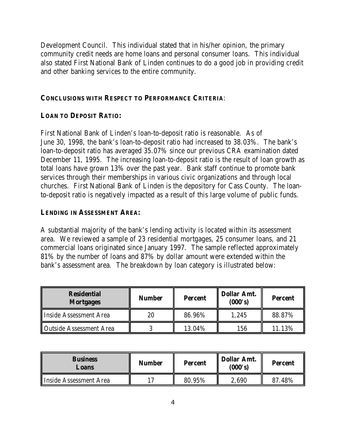Development Council. This individual stated that in his/her opinion, the primary community credit needs are home loans and personal consumer loans. This individual also stated First National Bank of Linden continues to do a good job in providing credit and other banking services to the entire community.

#### **CONCLUSIONS WITH RESPECT TO PERFORMANCE CRITERIA**:

#### **LOAN TO DEPOSIT RATIO:**

First National Bank of Linden's loan-to-deposit ratio is reasonable. As of June 30, 1998, the bank's loan-to-deposit ratio had increased to 38.03%. The bank's loan-to-deposit ratio has averaged 35.07% since our previous CRA examination dated December 11, 1995. The increasing loan-to-deposit ratio is the result of loan growth as total loans have grown 13% over the past year. Bank staff continue to promote bank services through their memberships in various civic organizations and through local churches. First National Bank of Linden is the depository for Cass County. The loanto-deposit ratio is negatively impacted as a result of this large volume of public funds.

#### **LENDING IN ASSESSMENT AREA:**

A substantial majority of the bank's lending activity is located within its assessment area. We reviewed a sample of 23 residential mortgages, 25 consumer loans, and 21 commercial loans originated since January 1997. The sample reflected approximately 81% by the number of loans and 87% by dollar amount were extended within the bank's assessment area. The breakdown by loan category is illustrated below:

| <b>Residential</b><br><b>Mortgages</b> | <b>Number</b> | <b>Percent</b> | <b>Dollar Amt.</b><br>(000's) | <b>Percent</b> |  |
|----------------------------------------|---------------|----------------|-------------------------------|----------------|--|
| Inside Assessment Area                 | 20            | 86.96%         | 1,245                         | 88.87%         |  |
| <b>Outside Assessment Area</b>         |               | 13.04%         | 156                           | 11.13%         |  |

| <b>Business</b><br>Loans | <b>Number</b> | <b>Percent</b> | <b>Dollar Amt.</b><br>(000's) | <b>Percent</b> |  |
|--------------------------|---------------|----------------|-------------------------------|----------------|--|
| Inside Assessment Area   |               | 80.95%         | 2,690                         | 48%<br>87      |  |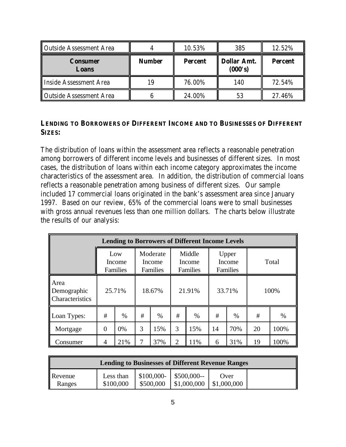| Outside Assessment Area        |               | 10.53%         | 385                           | 12.52%         |
|--------------------------------|---------------|----------------|-------------------------------|----------------|
| <b>Consumer</b><br>Loans       | <b>Number</b> | <b>Percent</b> | <b>Dollar Amt.</b><br>(000's) | <b>Percent</b> |
| Inside Assessment Area         |               | 76.00%         | 140                           | 72.54%         |
| <b>Outside Assessment Area</b> |               | 24.00%         | 53                            | 27.46%         |

#### **LENDING TO BORROWERS OF DIFFERENT INCOME AND TO BUSINESSES OF DIFFERENT SIZES:**

The distribution of loans within the assessment area reflects a reasonable penetration among borrowers of different income levels and businesses of different sizes. In most cases, the distribution of loans within each income category approximates the income characteristics of the assessment area. In addition, the distribution of commercial loans reflects a reasonable penetration among business of different sizes. Our sample included 17 commercial loans originated in the bank's assessment area since January 1997. Based on our review, 65% of the commercial loans were to small businesses with gross annual revenues less than one million dollars. The charts below illustrate the results of our analysis:

| <b>Lending to Borrowers of Different Income Levels</b> |        |                                  |        |                                |                |                                                                    |        |       |      |      |
|--------------------------------------------------------|--------|----------------------------------|--------|--------------------------------|----------------|--------------------------------------------------------------------|--------|-------|------|------|
|                                                        |        | Low<br>Income<br><b>Families</b> |        | Moderate<br>Income<br>Families |                | Middle<br>Upper<br>Income<br>Income<br>Families<br><b>Families</b> |        | Total |      |      |
| Area<br>Demographic<br><b>Characteristics</b>          | 25.71% |                                  | 18.67% |                                | 21.91%         |                                                                    | 33.71% |       | 100% |      |
| Loan Types:                                            | #      | $\%$                             | #      | $\%$                           | #              | $\%$                                                               | #      | $\%$  | #    | $\%$ |
| Mortgage                                               | 0      | 0%                               | 3      | 15%                            | 3              | 15%                                                                | 14     | 70%   | 20   | 100% |
| Consumer                                               | 4      | 21%                              | 7      | 37%                            | $\overline{2}$ | 11%                                                                | 6      | 31%   | 19   | 100% |

| <b>Lending to Businesses of Different Revenue Ranges</b> |                        |           |                                        |                     |  |  |  |  |  |
|----------------------------------------------------------|------------------------|-----------|----------------------------------------|---------------------|--|--|--|--|--|
| Revenue<br>Ranges                                        | Less than<br>\$100,000 | \$500,000 | $$100,000-$ \$500,000--<br>\$1,000,000 | Over<br>\$1,000,000 |  |  |  |  |  |